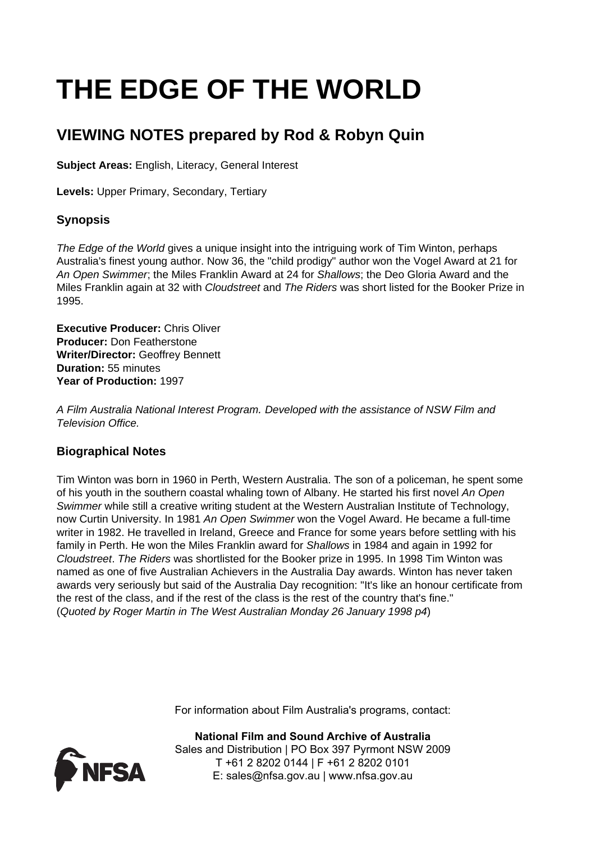# **THE EDGE OF THE WORLD**

# **VIEWING NOTES prepared by Rod & Robyn Quin**

**Subject Areas:** English, Literacy, General Interest

**Levels:** Upper Primary, Secondary, Tertiary

# **Synopsis**

The Edge of the World gives a unique insight into the intriguing work of Tim Winton, perhaps Australia's finest young author. Now 36, the "child prodigy" author won the Vogel Award at 21 for An Open Swimmer; the Miles Franklin Award at 24 for Shallows; the Deo Gloria Award and the Miles Franklin again at 32 with Cloudstreet and The Riders was short listed for the Booker Prize in 1995.

**Executive Producer:** Chris Oliver **Producer:** Don Featherstone **Writer/Director:** Geoffrey Bennett **Duration:** 55 minutes **Year of Production:** 1997

A Film Australia National Interest Program. Developed with the assistance of NSW Film and Television Office.

# **Biographical Notes**

Tim Winton was born in 1960 in Perth, Western Australia. The son of a policeman, he spent some of his youth in the southern coastal whaling town of Albany. He started his first novel An Open Swimmer while still a creative writing student at the Western Australian Institute of Technology, now Curtin University. In 1981 An Open Swimmer won the Vogel Award. He became a full-time writer in 1982. He travelled in Ireland, Greece and France for some years before settling with his family in Perth. He won the Miles Franklin award for Shallows in 1984 and again in 1992 for Cloudstreet. The Riders was shortlisted for the Booker prize in 1995. In 1998 Tim Winton was named as one of five Australian Achievers in the Australia Day awards. Winton has never taken awards very seriously but said of the Australia Day recognition: "It's like an honour certificate from the rest of the class, and if the rest of the class is the rest of the country that's fine." (Quoted by Roger Martin in The West Australian Monday 26 January 1998 p4)

For information about Film Australia's programs, contact:



**National Film and Sound Archive of Australia** Sales and Distribution | PO Box 397 Pyrmont NSW 2009 T +61 2 8202 0144 | F +61 2 8202 0101 E: sales@nfsa.gov.au | www.nfsa.gov.au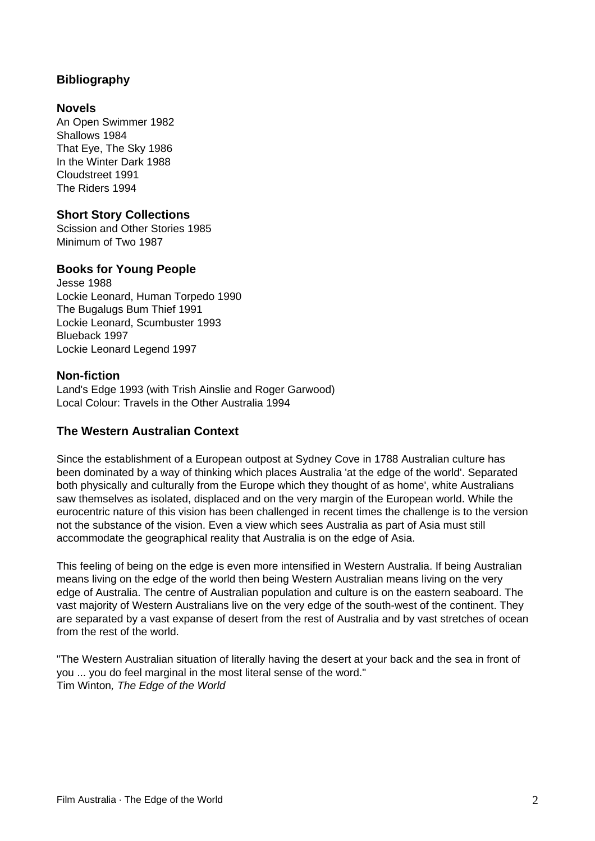# **Bibliography**

#### **Novels**

An Open Swimmer 1982 Shallows 1984 That Eye, The Sky 1986 In the Winter Dark 1988 Cloudstreet 1991 The Riders 1994

### **Short Story Collections**

Scission and Other Stories 1985 Minimum of Two 1987

### **Books for Young People**

Jesse 1988 Lockie Leonard, Human Torpedo 1990 The Bugalugs Bum Thief 1991 Lockie Leonard, Scumbuster 1993 Blueback 1997 Lockie Leonard Legend 1997

#### **Non-fiction**

Land's Edge 1993 (with Trish Ainslie and Roger Garwood) Local Colour: Travels in the Other Australia 1994

# **The Western Australian Context**

Since the establishment of a European outpost at Sydney Cove in 1788 Australian culture has been dominated by a way of thinking which places Australia 'at the edge of the world'. Separated both physically and culturally from the Europe which they thought of as home', white Australians saw themselves as isolated, displaced and on the very margin of the European world. While the eurocentric nature of this vision has been challenged in recent times the challenge is to the version not the substance of the vision. Even a view which sees Australia as part of Asia must still accommodate the geographical reality that Australia is on the edge of Asia.

This feeling of being on the edge is even more intensified in Western Australia. If being Australian means living on the edge of the world then being Western Australian means living on the very edge of Australia. The centre of Australian population and culture is on the eastern seaboard. The vast majority of Western Australians live on the very edge of the south-west of the continent. They are separated by a vast expanse of desert from the rest of Australia and by vast stretches of ocean from the rest of the world.

"The Western Australian situation of literally having the desert at your back and the sea in front of you ... you do feel marginal in the most literal sense of the word." Tim Winton, The Edge of the World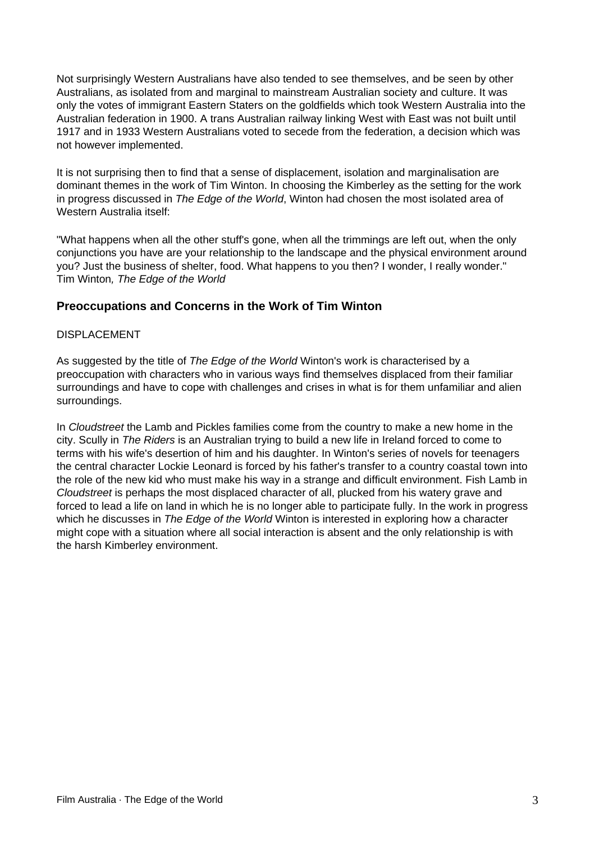Not surprisingly Western Australians have also tended to see themselves, and be seen by other Australians, as isolated from and marginal to mainstream Australian society and culture. It was only the votes of immigrant Eastern Staters on the goldfields which took Western Australia into the Australian federation in 1900. A trans Australian railway linking West with East was not built until 1917 and in 1933 Western Australians voted to secede from the federation, a decision which was not however implemented.

It is not surprising then to find that a sense of displacement, isolation and marginalisation are dominant themes in the work of Tim Winton. In choosing the Kimberley as the setting for the work in progress discussed in The Edge of the World, Winton had chosen the most isolated area of Western Australia itself:

"What happens when all the other stuff's gone, when all the trimmings are left out, when the only conjunctions you have are your relationship to the landscape and the physical environment around you? Just the business of shelter, food. What happens to you then? I wonder, I really wonder." Tim Winton, The Edge of the World

# **Preoccupations and Concerns in the Work of Tim Winton**

#### DISPLACEMENT

As suggested by the title of The Edge of the World Winton's work is characterised by a preoccupation with characters who in various ways find themselves displaced from their familiar surroundings and have to cope with challenges and crises in what is for them unfamiliar and alien surroundings.

In Cloudstreet the Lamb and Pickles families come from the country to make a new home in the city. Scully in *The Riders* is an Australian trying to build a new life in Ireland forced to come to terms with his wife's desertion of him and his daughter. In Winton's series of novels for teenagers the central character Lockie Leonard is forced by his father's transfer to a country coastal town into the role of the new kid who must make his way in a strange and difficult environment. Fish Lamb in Cloudstreet is perhaps the most displaced character of all, plucked from his watery grave and forced to lead a life on land in which he is no longer able to participate fully. In the work in progress which he discusses in The Edge of the World Winton is interested in exploring how a character might cope with a situation where all social interaction is absent and the only relationship is with the harsh Kimberley environment.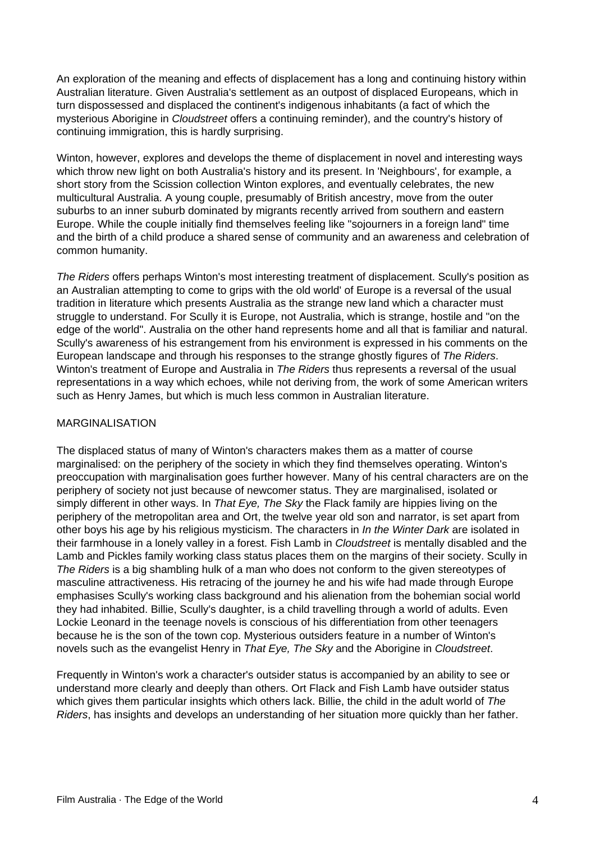An exploration of the meaning and effects of displacement has a long and continuing history within Australian literature. Given Australia's settlement as an outpost of displaced Europeans, which in turn dispossessed and displaced the continent's indigenous inhabitants (a fact of which the mysterious Aborigine in Cloudstreet offers a continuing reminder), and the country's history of continuing immigration, this is hardly surprising.

Winton, however, explores and develops the theme of displacement in novel and interesting ways which throw new light on both Australia's history and its present. In 'Neighbours', for example, a short story from the Scission collection Winton explores, and eventually celebrates, the new multicultural Australia. A young couple, presumably of British ancestry, move from the outer suburbs to an inner suburb dominated by migrants recently arrived from southern and eastern Europe. While the couple initially find themselves feeling like "sojourners in a foreign land" time and the birth of a child produce a shared sense of community and an awareness and celebration of common humanity.

The Riders offers perhaps Winton's most interesting treatment of displacement. Scully's position as an Australian attempting to come to grips with the old world' of Europe is a reversal of the usual tradition in literature which presents Australia as the strange new land which a character must struggle to understand. For Scully it is Europe, not Australia, which is strange, hostile and "on the edge of the world". Australia on the other hand represents home and all that is familiar and natural. Scully's awareness of his estrangement from his environment is expressed in his comments on the European landscape and through his responses to the strange ghostly figures of The Riders. Winton's treatment of Europe and Australia in The Riders thus represents a reversal of the usual representations in a way which echoes, while not deriving from, the work of some American writers such as Henry James, but which is much less common in Australian literature.

#### MARGINALISATION

The displaced status of many of Winton's characters makes them as a matter of course marginalised: on the periphery of the society in which they find themselves operating. Winton's preoccupation with marginalisation goes further however. Many of his central characters are on the periphery of society not just because of newcomer status. They are marginalised, isolated or simply different in other ways. In That Eye, The Sky the Flack family are hippies living on the periphery of the metropolitan area and Ort, the twelve year old son and narrator, is set apart from other boys his age by his religious mysticism. The characters in In the Winter Dark are isolated in their farmhouse in a lonely valley in a forest. Fish Lamb in Cloudstreet is mentally disabled and the Lamb and Pickles family working class status places them on the margins of their society. Scully in The Riders is a big shambling hulk of a man who does not conform to the given stereotypes of masculine attractiveness. His retracing of the journey he and his wife had made through Europe emphasises Scully's working class background and his alienation from the bohemian social world they had inhabited. Billie, Scully's daughter, is a child travelling through a world of adults. Even Lockie Leonard in the teenage novels is conscious of his differentiation from other teenagers because he is the son of the town cop. Mysterious outsiders feature in a number of Winton's novels such as the evangelist Henry in That Eye, The Sky and the Aborigine in Cloudstreet.

Frequently in Winton's work a character's outsider status is accompanied by an ability to see or understand more clearly and deeply than others. Ort Flack and Fish Lamb have outsider status which gives them particular insights which others lack. Billie, the child in the adult world of The Riders, has insights and develops an understanding of her situation more quickly than her father.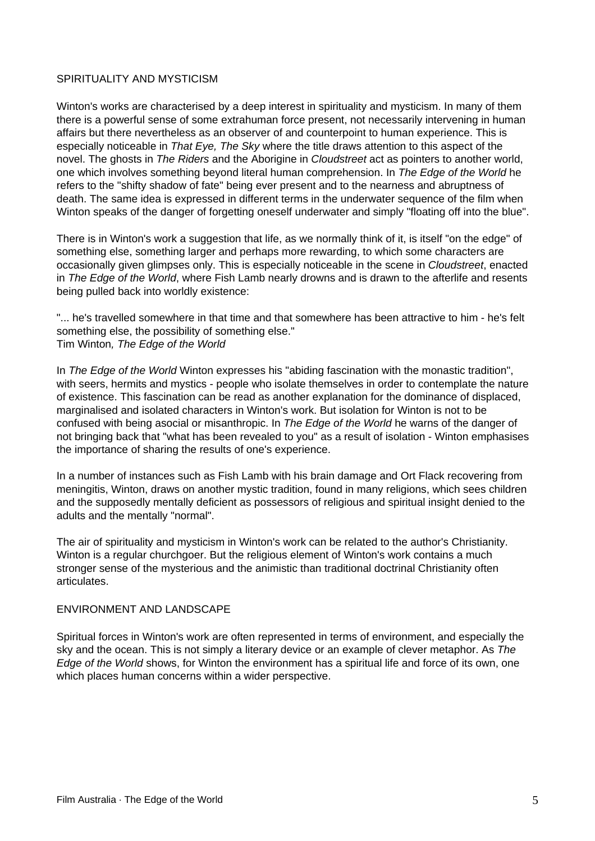#### SPIRITUALITY AND MYSTICISM

Winton's works are characterised by a deep interest in spirituality and mysticism. In many of them there is a powerful sense of some extrahuman force present, not necessarily intervening in human affairs but there nevertheless as an observer of and counterpoint to human experience. This is especially noticeable in That Eye, The Sky where the title draws attention to this aspect of the novel. The ghosts in The Riders and the Aborigine in Cloudstreet act as pointers to another world, one which involves something beyond literal human comprehension. In The Edge of the World he refers to the "shifty shadow of fate" being ever present and to the nearness and abruptness of death. The same idea is expressed in different terms in the underwater sequence of the film when Winton speaks of the danger of forgetting oneself underwater and simply "floating off into the blue".

There is in Winton's work a suggestion that life, as we normally think of it, is itself "on the edge" of something else, something larger and perhaps more rewarding, to which some characters are occasionally given glimpses only. This is especially noticeable in the scene in Cloudstreet, enacted in The Edge of the World, where Fish Lamb nearly drowns and is drawn to the afterlife and resents being pulled back into worldly existence:

"... he's travelled somewhere in that time and that somewhere has been attractive to him - he's felt something else, the possibility of something else." Tim Winton, The Edge of the World

In The Edge of the World Winton expresses his "abiding fascination with the monastic tradition", with seers, hermits and mystics - people who isolate themselves in order to contemplate the nature of existence. This fascination can be read as another explanation for the dominance of displaced, marginalised and isolated characters in Winton's work. But isolation for Winton is not to be confused with being asocial or misanthropic. In The Edge of the World he warns of the danger of not bringing back that "what has been revealed to you" as a result of isolation - Winton emphasises the importance of sharing the results of one's experience.

In a number of instances such as Fish Lamb with his brain damage and Ort Flack recovering from meningitis, Winton, draws on another mystic tradition, found in many religions, which sees children and the supposedly mentally deficient as possessors of religious and spiritual insight denied to the adults and the mentally "normal".

The air of spirituality and mysticism in Winton's work can be related to the author's Christianity. Winton is a regular churchgoer. But the religious element of Winton's work contains a much stronger sense of the mysterious and the animistic than traditional doctrinal Christianity often articulates.

#### ENVIRONMENT AND LANDSCAPE

Spiritual forces in Winton's work are often represented in terms of environment, and especially the sky and the ocean. This is not simply a literary device or an example of clever metaphor. As The Edge of the World shows, for Winton the environment has a spiritual life and force of its own, one which places human concerns within a wider perspective.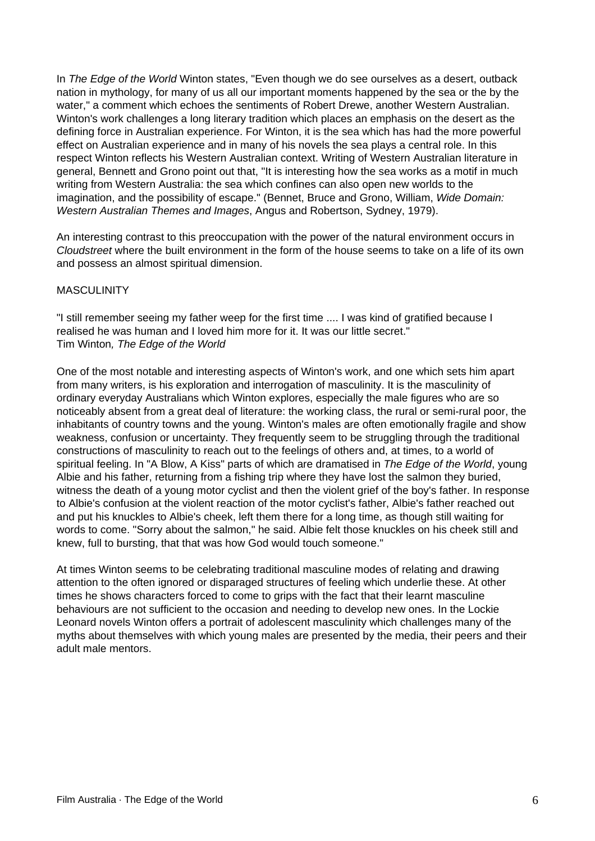In The Edge of the World Winton states, "Even though we do see ourselves as a desert, outback nation in mythology, for many of us all our important moments happened by the sea or the by the water," a comment which echoes the sentiments of Robert Drewe, another Western Australian. Winton's work challenges a long literary tradition which places an emphasis on the desert as the defining force in Australian experience. For Winton, it is the sea which has had the more powerful effect on Australian experience and in many of his novels the sea plays a central role. In this respect Winton reflects his Western Australian context. Writing of Western Australian literature in general, Bennett and Grono point out that, "It is interesting how the sea works as a motif in much writing from Western Australia: the sea which confines can also open new worlds to the imagination, and the possibility of escape." (Bennet, Bruce and Grono, William, Wide Domain: Western Australian Themes and Images, Angus and Robertson, Sydney, 1979).

An interesting contrast to this preoccupation with the power of the natural environment occurs in Cloudstreet where the built environment in the form of the house seems to take on a life of its own and possess an almost spiritual dimension.

#### **MASCULINITY**

"I still remember seeing my father weep for the first time .... I was kind of gratified because I realised he was human and I loved him more for it. It was our little secret." Tim Winton, The Edge of the World

One of the most notable and interesting aspects of Winton's work, and one which sets him apart from many writers, is his exploration and interrogation of masculinity. It is the masculinity of ordinary everyday Australians which Winton explores, especially the male figures who are so noticeably absent from a great deal of literature: the working class, the rural or semi-rural poor, the inhabitants of country towns and the young. Winton's males are often emotionally fragile and show weakness, confusion or uncertainty. They frequently seem to be struggling through the traditional constructions of masculinity to reach out to the feelings of others and, at times, to a world of spiritual feeling. In "A Blow, A Kiss" parts of which are dramatised in The Edge of the World, young Albie and his father, returning from a fishing trip where they have lost the salmon they buried, witness the death of a young motor cyclist and then the violent grief of the boy's father. In response to Albie's confusion at the violent reaction of the motor cyclist's father, Albie's father reached out and put his knuckles to Albie's cheek, left them there for a long time, as though still waiting for words to come. "Sorry about the salmon," he said. Albie felt those knuckles on his cheek still and knew, full to bursting, that that was how God would touch someone."

At times Winton seems to be celebrating traditional masculine modes of relating and drawing attention to the often ignored or disparaged structures of feeling which underlie these. At other times he shows characters forced to come to grips with the fact that their learnt masculine behaviours are not sufficient to the occasion and needing to develop new ones. In the Lockie Leonard novels Winton offers a portrait of adolescent masculinity which challenges many of the myths about themselves with which young males are presented by the media, their peers and their adult male mentors.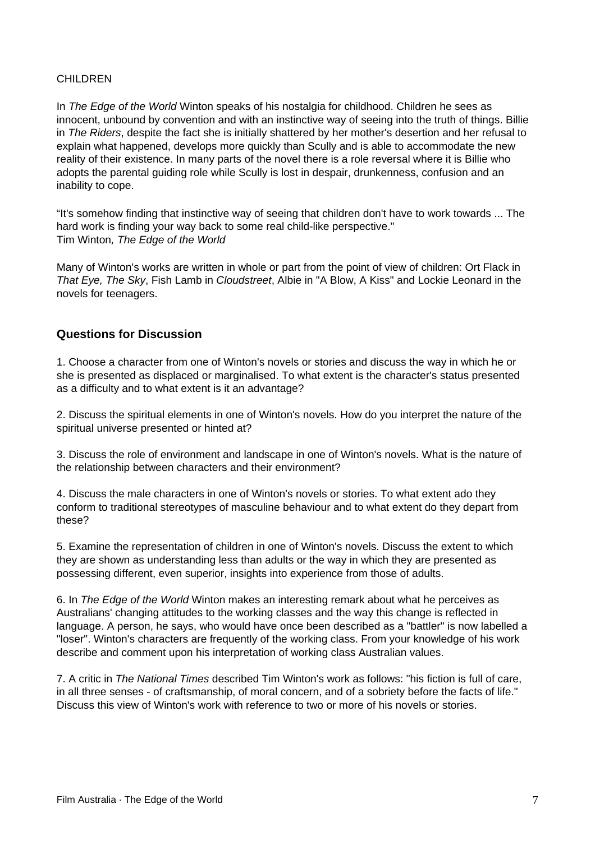#### CHILDREN

In *The Edge of the World* Winton speaks of his nostalgia for childhood. Children he sees as innocent, unbound by convention and with an instinctive way of seeing into the truth of things. Billie in The Riders, despite the fact she is initially shattered by her mother's desertion and her refusal to explain what happened, develops more quickly than Scully and is able to accommodate the new reality of their existence. In many parts of the novel there is a role reversal where it is Billie who adopts the parental guiding role while Scully is lost in despair, drunkenness, confusion and an inability to cope.

"It's somehow finding that instinctive way of seeing that children don't have to work towards ... The hard work is finding your way back to some real child-like perspective." Tim Winton, The Edge of the World

Many of Winton's works are written in whole or part from the point of view of children: Ort Flack in That Eye, The Sky, Fish Lamb in Cloudstreet, Albie in "A Blow, A Kiss" and Lockie Leonard in the novels for teenagers.

### **Questions for Discussion**

1. Choose a character from one of Winton's novels or stories and discuss the way in which he or she is presented as displaced or marginalised. To what extent is the character's status presented as a difficulty and to what extent is it an advantage?

2. Discuss the spiritual elements in one of Winton's novels. How do you interpret the nature of the spiritual universe presented or hinted at?

3. Discuss the role of environment and landscape in one of Winton's novels. What is the nature of the relationship between characters and their environment?

4. Discuss the male characters in one of Winton's novels or stories. To what extent ado they conform to traditional stereotypes of masculine behaviour and to what extent do they depart from these?

5. Examine the representation of children in one of Winton's novels. Discuss the extent to which they are shown as understanding less than adults or the way in which they are presented as possessing different, even superior, insights into experience from those of adults.

6. In The Edge of the World Winton makes an interesting remark about what he perceives as Australians' changing attitudes to the working classes and the way this change is reflected in language. A person, he says, who would have once been described as a "battler" is now labelled a "loser". Winton's characters are frequently of the working class. From your knowledge of his work describe and comment upon his interpretation of working class Australian values.

7. A critic in The National Times described Tim Winton's work as follows: "his fiction is full of care, in all three senses - of craftsmanship, of moral concern, and of a sobriety before the facts of life." Discuss this view of Winton's work with reference to two or more of his novels or stories.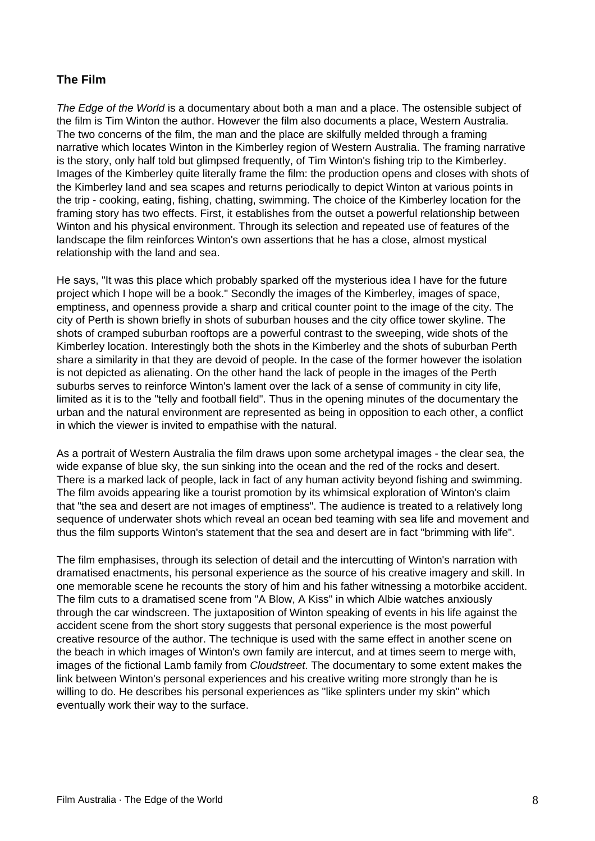# **The Film**

The Edge of the World is a documentary about both a man and a place. The ostensible subject of the film is Tim Winton the author. However the film also documents a place, Western Australia. The two concerns of the film, the man and the place are skilfully melded through a framing narrative which locates Winton in the Kimberley region of Western Australia. The framing narrative is the story, only half told but glimpsed frequently, of Tim Winton's fishing trip to the Kimberley. Images of the Kimberley quite literally frame the film: the production opens and closes with shots of the Kimberley land and sea scapes and returns periodically to depict Winton at various points in the trip - cooking, eating, fishing, chatting, swimming. The choice of the Kimberley location for the framing story has two effects. First, it establishes from the outset a powerful relationship between Winton and his physical environment. Through its selection and repeated use of features of the landscape the film reinforces Winton's own assertions that he has a close, almost mystical relationship with the land and sea.

He says, "It was this place which probably sparked off the mysterious idea I have for the future project which I hope will be a book." Secondly the images of the Kimberley, images of space, emptiness, and openness provide a sharp and critical counter point to the image of the city. The city of Perth is shown briefly in shots of suburban houses and the city office tower skyline. The shots of cramped suburban rooftops are a powerful contrast to the sweeping, wide shots of the Kimberley location. Interestingly both the shots in the Kimberley and the shots of suburban Perth share a similarity in that they are devoid of people. In the case of the former however the isolation is not depicted as alienating. On the other hand the lack of people in the images of the Perth suburbs serves to reinforce Winton's lament over the lack of a sense of community in city life, limited as it is to the "telly and football field". Thus in the opening minutes of the documentary the urban and the natural environment are represented as being in opposition to each other, a conflict in which the viewer is invited to empathise with the natural.

As a portrait of Western Australia the film draws upon some archetypal images - the clear sea, the wide expanse of blue sky, the sun sinking into the ocean and the red of the rocks and desert. There is a marked lack of people, lack in fact of any human activity beyond fishing and swimming. The film avoids appearing like a tourist promotion by its whimsical exploration of Winton's claim that "the sea and desert are not images of emptiness". The audience is treated to a relatively long sequence of underwater shots which reveal an ocean bed teaming with sea life and movement and thus the film supports Winton's statement that the sea and desert are in fact "brimming with life".

The film emphasises, through its selection of detail and the intercutting of Winton's narration with dramatised enactments, his personal experience as the source of his creative imagery and skill. In one memorable scene he recounts the story of him and his father witnessing a motorbike accident. The film cuts to a dramatised scene from "A Blow, A Kiss" in which Albie watches anxiously through the car windscreen. The juxtaposition of Winton speaking of events in his life against the accident scene from the short story suggests that personal experience is the most powerful creative resource of the author. The technique is used with the same effect in another scene on the beach in which images of Winton's own family are intercut, and at times seem to merge with, images of the fictional Lamb family from Cloudstreet. The documentary to some extent makes the link between Winton's personal experiences and his creative writing more strongly than he is willing to do. He describes his personal experiences as "like splinters under my skin" which eventually work their way to the surface.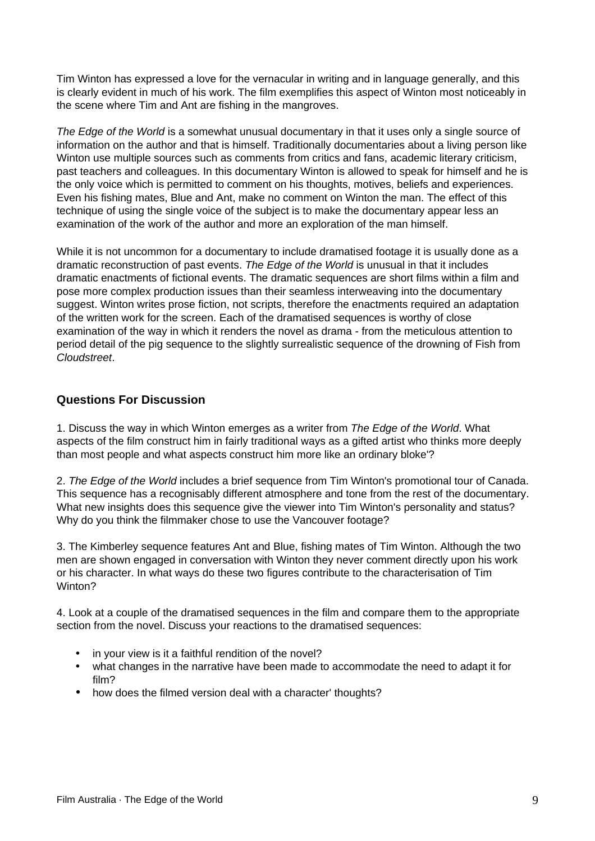Tim Winton has expressed a love for the vernacular in writing and in language generally, and this is clearly evident in much of his work. The film exemplifies this aspect of Winton most noticeably in the scene where Tim and Ant are fishing in the mangroves.

The Edge of the World is a somewhat unusual documentary in that it uses only a single source of information on the author and that is himself. Traditionally documentaries about a living person like Winton use multiple sources such as comments from critics and fans, academic literary criticism, past teachers and colleagues. In this documentary Winton is allowed to speak for himself and he is the only voice which is permitted to comment on his thoughts, motives, beliefs and experiences. Even his fishing mates, Blue and Ant, make no comment on Winton the man. The effect of this technique of using the single voice of the subject is to make the documentary appear less an examination of the work of the author and more an exploration of the man himself.

While it is not uncommon for a documentary to include dramatised footage it is usually done as a dramatic reconstruction of past events. The Edge of the World is unusual in that it includes dramatic enactments of fictional events. The dramatic sequences are short films within a film and pose more complex production issues than their seamless interweaving into the documentary suggest. Winton writes prose fiction, not scripts, therefore the enactments required an adaptation of the written work for the screen. Each of the dramatised sequences is worthy of close examination of the way in which it renders the novel as drama - from the meticulous attention to period detail of the pig sequence to the slightly surrealistic sequence of the drowning of Fish from Cloudstreet.

# **Questions For Discussion**

1. Discuss the way in which Winton emerges as a writer from The Edge of the World. What aspects of the film construct him in fairly traditional ways as a gifted artist who thinks more deeply than most people and what aspects construct him more like an ordinary bloke'?

2. The Edge of the World includes a brief sequence from Tim Winton's promotional tour of Canada. This sequence has a recognisably different atmosphere and tone from the rest of the documentary. What new insights does this sequence give the viewer into Tim Winton's personality and status? Why do you think the filmmaker chose to use the Vancouver footage?

3. The Kimberley sequence features Ant and Blue, fishing mates of Tim Winton. Although the two men are shown engaged in conversation with Winton they never comment directly upon his work or his character. In what ways do these two figures contribute to the characterisation of Tim Winton?

4. Look at a couple of the dramatised sequences in the film and compare them to the appropriate section from the novel. Discuss your reactions to the dramatised sequences:

- in your view is it a faithful rendition of the novel?
- what changes in the narrative have been made to accommodate the need to adapt it for film?
- how does the filmed version deal with a character' thoughts?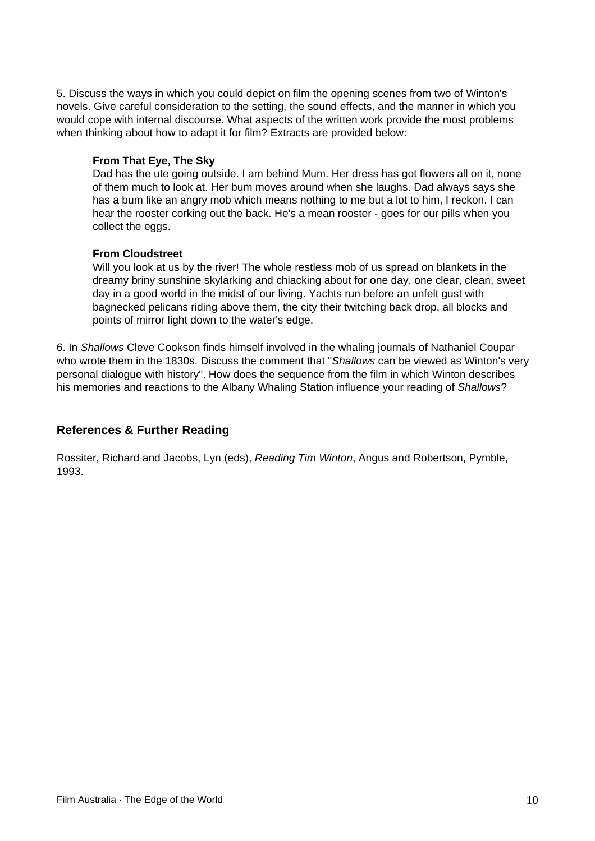5. Discuss the ways in which you could depict on film the opening scenes from two of Winton's novels. Give careful consideration to the setting, the sound effects, and the manner in which you would cope with internal discourse. What aspects of the written work provide the most problems when thinking about how to adapt it for film? Extracts are provided below:

#### **From That Eye, The Sky**

Dad has the ute going outside. I am behind Mum. Her dress has got flowers all on it, none of them much to look at. Her bum moves around when she laughs. Dad always says she has a bum like an angry mob which means nothing to me but a lot to him, I reckon. I can hear the rooster corking out the back. He's a mean rooster - goes for our pills when you collect the eggs.

#### **From Cloudstreet**

Will you look at us by the river! The whole restless mob of us spread on blankets in the dreamy briny sunshine skylarking and chiacking about for one day, one clear, clean, sweet day in a good world in the midst of our living. Yachts run before an unfelt gust with bagnecked pelicans riding above them, the city their twitching back drop, all blocks and points of mirror light down to the water's edge.

6. In Shallows Cleve Cookson finds himself involved in the whaling journals of Nathaniel Coupar who wrote them in the 1830s. Discuss the comment that "Shallows can be viewed as Winton's very personal dialogue with history". How does the sequence from the film in which Winton describes his memories and reactions to the Albany Whaling Station influence your reading of Shallows?

# **References & Further Reading**

Rossiter, Richard and Jacobs, Lyn (eds), Reading Tim Winton, Angus and Robertson, Pymble, 1993.